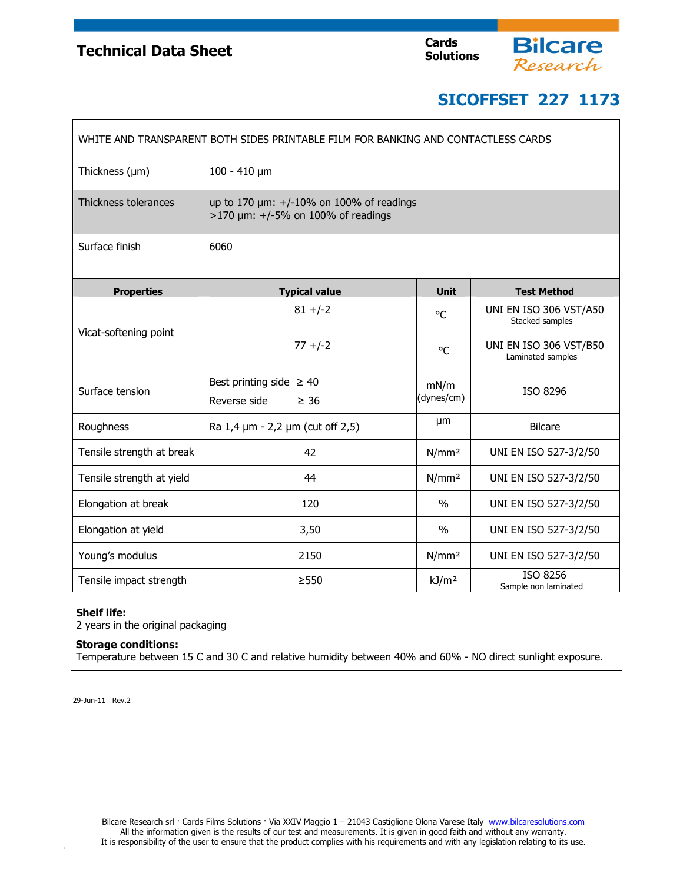## **Technical Data Sheet**



**Bilcare**<br>Research

| WHITE AND TRANSPARENT BOTH SIDES PRINTABLE FILM FOR BANKING AND CONTACTLESS CARDS |                                                                                       |                    |                                             |  |
|-----------------------------------------------------------------------------------|---------------------------------------------------------------------------------------|--------------------|---------------------------------------------|--|
| Thickness $(\mu m)$                                                               | $100 - 410 \mu m$                                                                     |                    |                                             |  |
| Thickness tolerances                                                              | up to 170 $\mu$ m: +/-10% on 100% of readings<br>$>170$ µm: +/-5% on 100% of readings |                    |                                             |  |
| Surface finish                                                                    | 6060                                                                                  |                    |                                             |  |
| <b>Properties</b>                                                                 | <b>Typical value</b>                                                                  | <b>Unit</b>        | <b>Test Method</b>                          |  |
| Vicat-softening point                                                             | $81 + (-2)$                                                                           | °C                 | UNI EN ISO 306 VST/A50<br>Stacked samples   |  |
|                                                                                   | $77 + (-2)$                                                                           | °C                 | UNI EN ISO 306 VST/B50<br>Laminated samples |  |
| Surface tension                                                                   | Best printing side $\geq 40$<br>Reverse side<br>$\geq 36$                             | mN/m<br>(dynes/cm) | ISO 8296                                    |  |
|                                                                                   |                                                                                       | μm                 |                                             |  |
| Roughness                                                                         | Ra 1,4 µm - 2,2 µm (cut off 2,5)                                                      |                    | <b>Bilcare</b>                              |  |
| Tensile strength at break                                                         | 42                                                                                    | N/mm <sup>2</sup>  | UNI EN ISO 527-3/2/50                       |  |
| Tensile strength at yield                                                         | 44                                                                                    | N/mm <sup>2</sup>  | UNI EN ISO 527-3/2/50                       |  |
| Elongation at break                                                               | 120                                                                                   | $\frac{0}{0}$      | UNI EN ISO 527-3/2/50                       |  |
| Elongation at yield                                                               | 3,50                                                                                  | $\frac{0}{0}$      | UNI EN ISO 527-3/2/50                       |  |
| Young's modulus                                                                   | 2150                                                                                  | N/mm <sup>2</sup>  | UNI EN ISO 527-3/2/50                       |  |
| Tensile impact strength                                                           | > 550                                                                                 | kJ/m <sup>2</sup>  | ISO 8256<br>Sample non laminated            |  |

### **Shelf life:**

2 years in the original packaging

#### **Storage conditions:**

Temperature between 15 C and 30 C and relative humidity between 40% and 60% - NO direct sunlight exposure.

29-Jun-11 Rev.2